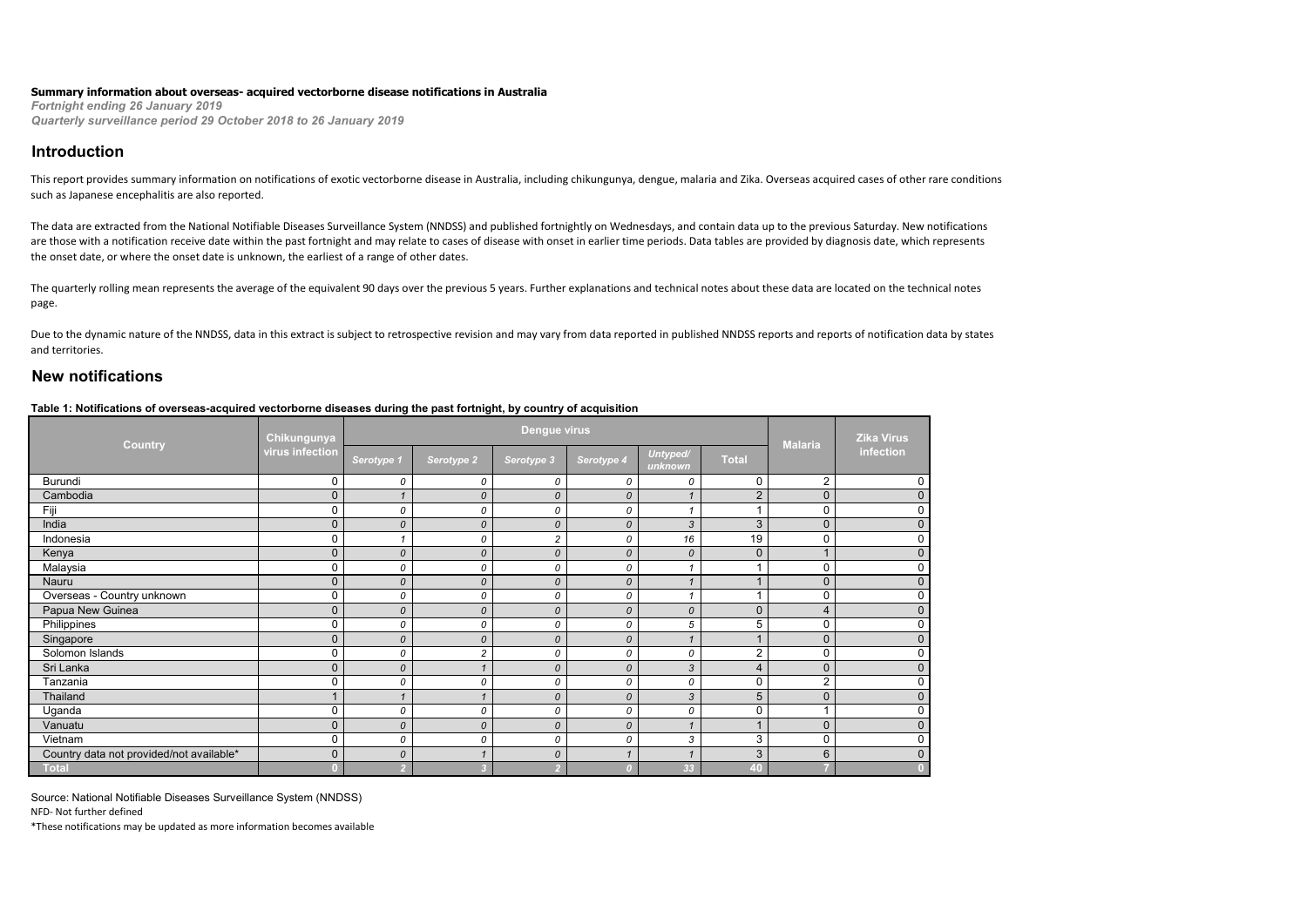#### **Summary information about overseas- acquired vectorborne disease notifications in Australia**

*Fortnight ending 26 January 2019 Quarterly surveillance period 29 October 2018 to 26 January 2019*

### **Introduction**

This report provides summary information on notifications of exotic vectorborne disease in Australia, including chikungunya, dengue, malaria and Zika. Overseas acquired cases of other rare conditions such as Japanese encephalitis are also reported.

The data are extracted from the National Notifiable Diseases Surveillance System (NNDSS) and published fortnightly on Wednesdays, and contain data up to the previous Saturday. New notifications are those with a notification receive date within the past fortnight and may relate to cases of disease with onset in earlier time periods. Data tables are provided by diagnosis date, which represents the onset date, or where the onset date is unknown, the earliest of a range of other dates.

The quarterly rolling mean represents the average of the equivalent 90 days over the previous 5 years. Further explanations and technical notes about these data are located on the technical notes page.

Due to the dynamic nature of the NNDSS, data in this extract is subject to retrospective revision and may vary from data reported in published NNDSS reports and reports of notification data by states and territories.

## **New notifications**

#### **Table 1: Notifications of overseas-acquired vectorborne diseases during the past fortnight, by country of acquisition**

| <b>Country</b>                           | <b>Chikungunya</b> |                       |                | <b>Dengue virus</b> |               |                     |                | <b>Malaria</b>       | <b>Zika Virus</b><br>infection |
|------------------------------------------|--------------------|-----------------------|----------------|---------------------|---------------|---------------------|----------------|----------------------|--------------------------------|
|                                          | virus infection    | Serotype <sub>1</sub> | Serotype 2     | Serotype 3          | Serotype 4    | Untyped/<br>unknown | <b>Total</b>   |                      |                                |
| Burundi                                  | $\mathbf 0$        | 0                     | 0              | 0                   | 0             | 0                   | $\mathbf 0$    | $\overline{2}$       | 0                              |
| Cambodia                                 | $\mathbf{0}$       | $\mathbf{1}$          | $\mathcal{O}$  | $\mathcal{O}$       | $\mathcal{O}$ |                     | $\overline{2}$ | 0                    | $\Omega$                       |
| Fiii                                     | 0                  | 0                     | 0              | 0                   | 0             |                     | и              | 0                    |                                |
| India                                    | $\mathbf 0$        | 0                     | $\mathcal{O}$  | $\mathcal{O}$       | $\mathcal{O}$ | 3                   | 3              | 0                    | $\Omega$                       |
| Indonesia                                | 0                  |                       | 0              | $\overline{c}$      | 0             | 16                  | 19             | 0                    | $\Omega$                       |
| Kenya                                    | $\mathbf 0$        | 0                     | $\mathcal{O}$  | 0                   | $\mathcal{O}$ | 0                   | $\mathbf 0$    | $\blacktriangleleft$ | $\Omega$                       |
| Malaysia                                 | $\mathbf 0$        | 0                     | 0              | 0                   | 0             |                     |                | 0                    | 0                              |
| Nauru                                    | $\mathbf 0$        | 0                     | 0              | $\mathcal{O}$       | $\mathcal{O}$ |                     | 1              | 0                    | $\mathbf{0}$                   |
| Overseas - Country unknown               | 0                  | 0                     | 0              | 0                   | 0             |                     | и              | 0                    | 0                              |
| Papua New Guinea                         | $\mathbf 0$        | 0                     | $\mathcal{O}$  | $\mathcal{O}$       | $\mathcal{O}$ | 0                   | $\mathbf 0$    | 4                    | $\mathbf{0}$                   |
| Philippines                              | $\mathbf 0$        | 0                     | 0              | 0                   | 0             | 5                   | 5              | 0                    | 0                              |
| Singapore                                | $\mathbf{0}$       | 0                     | 0              | 0                   | $\mathcal{O}$ |                     |                | 0                    | $\Omega$                       |
| Solomon Islands                          | 0                  | 0                     | $\overline{c}$ | 0                   | 0             | 0                   | $\overline{2}$ | 0                    | 0                              |
| Sri Lanka                                | $\mathbf 0$        | 0                     |                | 0                   | $\mathcal{O}$ | 3                   | $\overline{4}$ | 0                    | $\mathbf{0}$                   |
| Tanzania                                 | 0                  | 0                     | 0              | 0                   | 0             | 0                   | $\mathbf 0$    | 2                    | 0                              |
| Thailand                                 |                    | 1                     |                | 0                   | $\mathcal{O}$ | 3                   | 5              | 0                    | $\mathbf{0}$                   |
| Uganda                                   | $\mathbf 0$        | 0                     | 0              | 0                   | 0             | 0                   | $\mathbf 0$    | и                    | 0                              |
| Vanuatu                                  | $\mathbf 0$        | 0                     | $\mathcal{O}$  | $\mathcal{O}$       | $\mathcal{O}$ |                     |                | 0                    | $\mathbf{0}$                   |
| Vietnam                                  | $\mathbf 0$        | 0                     | 0              | 0                   | 0             | 3                   | 3              | 0                    | 0                              |
| Country data not provided/not available* | $\mathbf{0}$       | 0                     |                | 0                   |               |                     | 3              | 6                    | $\Omega$                       |
| <b>Total</b>                             |                    |                       |                |                     |               | 33                  | 40             |                      |                                |

Source: National Notifiable Diseases Surveillance System (NNDSS)

NFD- Not further defined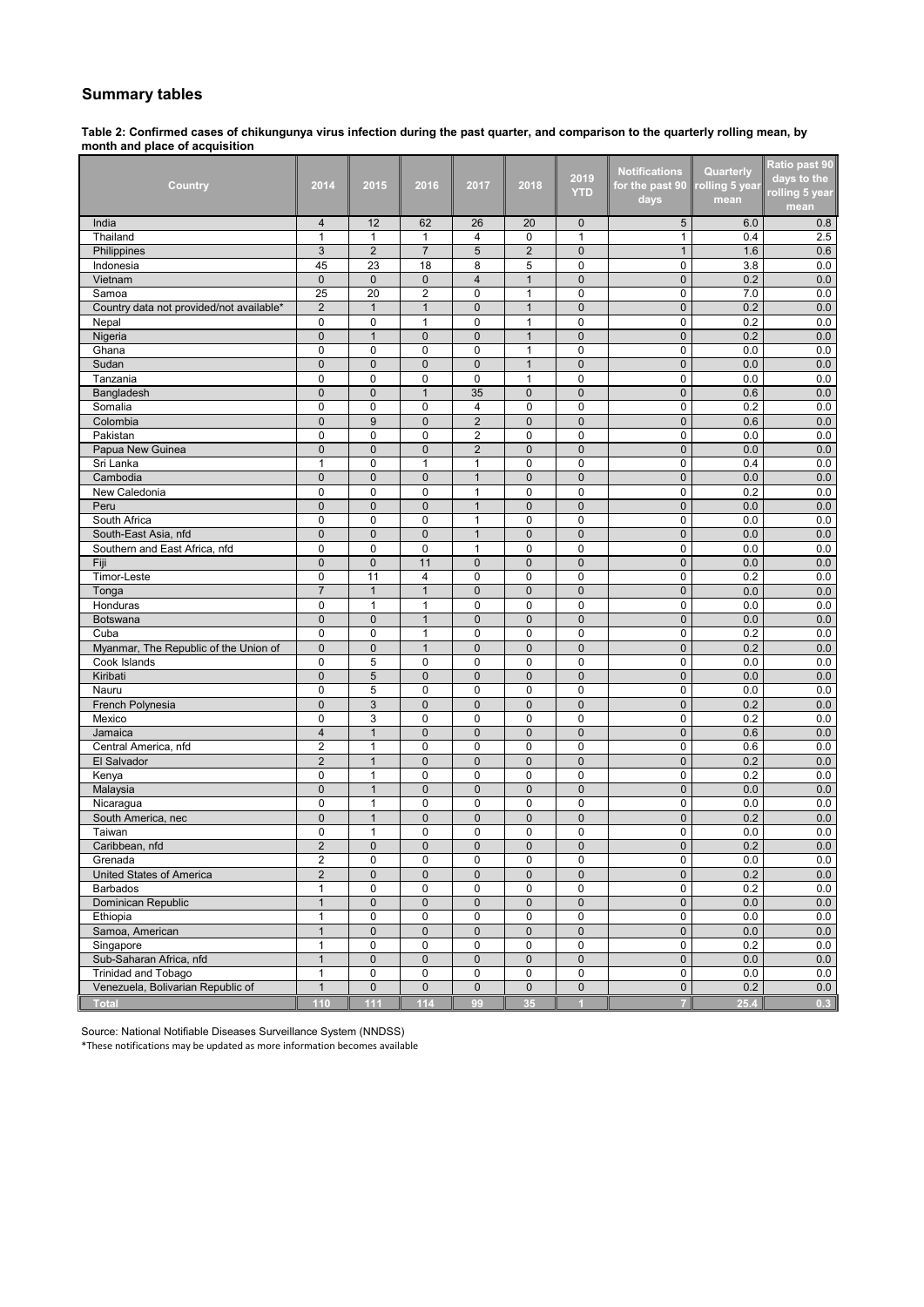## **Summary tables**

**Table 2: Confirmed cases of chikungunya virus infection during the past quarter, and comparison to the quarterly rolling mean, by month and place of acquisition**

| Country                                  | 2014           | 2015           | 2016                    | 2017           | 2018           | 2019           | <b>Notifications</b><br>for the past 90 | Quarterly<br>olling 5 year | Ratio past 90<br>days to the |
|------------------------------------------|----------------|----------------|-------------------------|----------------|----------------|----------------|-----------------------------------------|----------------------------|------------------------------|
|                                          |                |                |                         |                |                | <b>YTD</b>     | days                                    | mean                       | rolling 5 year<br>mean       |
| India                                    | $\overline{4}$ | 12             | 62                      | 26             | 20             | $\mathbf 0$    | 5                                       | 6.0                        | 0.8                          |
| Thailand                                 | $\mathbf{1}$   | 1              | 1                       | 4              | 0              | $\mathbf{1}$   | $\mathbf{1}$                            | 0.4                        | 2.5                          |
| Philippines                              | 3              | $\overline{2}$ | $\overline{7}$          | 5              | $\overline{2}$ | $\mathbf 0$    | $\mathbf{1}$                            | 1.6                        | 0.6                          |
| Indonesia                                | 45             | 23             | 18                      | 8              | 5              | $\mathbf 0$    | $\mathbf 0$                             | 3.8                        | 0.0                          |
| Vietnam                                  | $\mathbf{0}$   | $\mathbf 0$    | $\pmb{0}$               | $\overline{4}$ | $\mathbf{1}$   | $\mathbf{0}$   | $\mathbf 0$                             | 0.2                        | 0.0                          |
| Samoa                                    | 25             | 20             | $\overline{\mathbf{c}}$ | 0              | $\mathbf{1}$   | $\mathbf 0$    | 0                                       | 7.0                        | 0.0                          |
| Country data not provided/not available* | $\overline{2}$ | $\mathbf{1}$   | $\mathbf{1}$            | 0              | $\mathbf{1}$   | $\mathbf{0}$   | $\mathbf 0$                             | 0.2                        | 0.0                          |
| Nepal                                    | $\mathbf 0$    | 0              | $\mathbf{1}$            | 0              | $\mathbf{1}$   | $\mathbf 0$    | $\mathbf 0$                             | 0.2                        | 0.0                          |
| Nigeria                                  | $\mathbf{0}$   | $\mathbf{1}$   | $\mathbf{0}$            | $\mathbf 0$    | $\mathbf{1}$   | $\pmb{0}$      | $\mathbf 0$                             | 0.2                        | 0.0                          |
| Ghana                                    | $\mathbf 0$    | 0              | $\mathbf 0$             | 0              | $\mathbf{1}$   | 0              | $\mathbf 0$                             | 0.0                        | 0.0                          |
| Sudan                                    | $\mathbf 0$    | $\mathbf 0$    | $\mathbf{0}$            | 0              | $\mathbf{1}$   | $\pmb{0}$      | $\mathbf 0$                             | 0.0                        | 0.0                          |
| Tanzania                                 | $\mathbf 0$    | 0              | 0                       | 0              | 1              | 0              | 0                                       | 0.0                        | 0.0                          |
| Bangladesh                               | $\mathbf{0}$   | 0              | $\mathbf{1}$            | 35             | $\pmb{0}$      | $\pmb{0}$      | $\mathbf 0$                             | 0.6                        | 0.0                          |
| Somalia                                  | $\mathbf 0$    | 0              | 0                       | $\overline{4}$ | $\mathbf 0$    | $\mathbf 0$    | $\mathbf 0$                             | 0.2                        | 0.0                          |
| Colombia                                 | $\mathbf 0$    | 9              | $\pmb{0}$               | $\overline{2}$ | $\mathbf 0$    | $\mathbf 0$    | $\mathbf 0$                             | 0.6                        | 0.0                          |
| Pakistan                                 | $\Omega$       | 0              | $\mathbf 0$             | $\overline{2}$ | $\mathbf 0$    | $\mathbf 0$    | $\mathbf 0$                             | 0.0                        | 0.0                          |
| Papua New Guinea                         | $\mathbf 0$    | $\mathbf{0}$   | $\overline{0}$          | $\overline{2}$ | $\mathbf{0}$   | $\mathbf 0$    | $\mathbf 0$                             | 0.0                        | 0.0                          |
| Sri Lanka                                | 1              | 0              | $\mathbf{1}$            | $\mathbf{1}$   | 0              | $\mathbf 0$    | 0                                       | 0.4                        | 0.0                          |
| Cambodia                                 | $\mathbf 0$    | $\mathbf 0$    | $\mathbf{0}$            | $\mathbf{1}$   | $\mathbf 0$    | $\mathbf 0$    | $\mathbf 0$                             | 0.0                        | 0.0                          |
| New Caledonia                            | $\mathbf 0$    | 0              | $\mathbf 0$             | 1              | $\mathbf 0$    | $\mathbf 0$    | $\mathbf 0$                             | 0.2                        | 0.0                          |
| Peru                                     | $\mathbf 0$    | $\mathbf 0$    | $\mathbf{0}$            | $\mathbf{1}$   | $\mathbf 0$    | $\mathbf 0$    | $\mathbf 0$                             | 0.0                        | 0.0                          |
| South Africa                             | $\mathbf 0$    | 0              | $\mathbf 0$             | $\mathbf{1}$   | $\mathbf 0$    | $\mathbf 0$    | 0                                       | 0.0                        | 0.0                          |
| South-East Asia, nfd                     | $\overline{0}$ | $\mathbf 0$    | $\overline{0}$          | $\mathbf{1}$   | $\mathbf 0$    | $\mathbf 0$    | $\mathbf{0}$                            | 0.0                        | 0.0                          |
| Southern and East Africa, nfd            | $\mathbf 0$    | 0              | 0                       | 1              | 0              | 0              | 0                                       | 0.0                        | 0.0                          |
| Fiji                                     | $\mathbf{0}$   | $\mathbf{0}$   | 11                      | $\mathbf{0}$   | $\mathbf 0$    | $\mathbf{0}$   | $\mathbf{0}$                            | 0.0                        | 0.0                          |
| Timor-Leste                              | $\mathbf 0$    | 11             | $\overline{4}$          | 0              | $\mathbf 0$    | 0              | $\mathbf 0$                             | 0.2                        | 0.0                          |
| Tonga                                    | $\overline{7}$ | $\mathbf{1}$   | $\mathbf{1}$            | 0              | $\mathbf 0$    | $\pmb{0}$      | $\mathbf 0$                             | 0.0                        | 0.0                          |
| Honduras                                 | $\mathbf 0$    | $\mathbf{1}$   | $\mathbf{1}$            | 0              | $\mathbf 0$    | $\mathbf 0$    | $\mathbf 0$                             | 0.0                        | 0.0                          |
| Botswana                                 | $\mathbf{0}$   | $\mathbf{0}$   | $\mathbf{1}$            | $\overline{0}$ | $\mathbf{0}$   | $\mathbf 0$    | $\mathbf{0}$                            | 0.0                        | 0.0                          |
| Cuba                                     | $\mathbf 0$    | 0              | 1                       | 0              | $\mathbf 0$    | $\mathbf 0$    | 0                                       | 0.2                        | 0.0                          |
| Myanmar, The Republic of the Union of    | $\pmb{0}$      | $\pmb{0}$      | $\mathbf{1}$            | 0              | $\mathbf 0$    | $\mathbf 0$    | $\mathbf{0}$                            | 0.2                        | 0.0                          |
| Cook Islands                             | $\mathbf 0$    | 5              | 0                       | 0              | $\mathbf 0$    | $\mathbf 0$    | 0                                       | 0.0                        | 0.0                          |
| Kiribati                                 | $\mathbf{0}$   | 5              | $\mathbf 0$             | $\mathbf 0$    | $\mathbf{0}$   | $\mathbf 0$    | $\mathbf 0$                             | 0.0                        | 0.0                          |
| Nauru                                    | $\mathbf 0$    | 5              | $\mathbf 0$             | 0              | $\mathbf 0$    | 0              | 0                                       | 0.0                        | 0.0                          |
| French Polynesia                         | $\mathbf 0$    | 3              | $\pmb{0}$               | $\mathbf 0$    | $\bf 0$        | $\mathbf 0$    | $\mathbf 0$                             | 0.2                        | 0.0                          |
| Mexico                                   | 0              | 3              | $\mathbf 0$             | 0              | 0              | 0              | 0                                       | 0.2                        | 0.0                          |
| Jamaica                                  | $\overline{4}$ | $\mathbf{1}$   | $\mathbf 0$             | $\overline{0}$ | $\mathbf 0$    | $\pmb{0}$      | $\pmb{0}$                               | 0.6                        | 0.0                          |
| Central America, nfd                     | $\overline{2}$ | $\mathbf{1}$   | 0                       | 0              | $\mathbf 0$    | 0              | 0                                       | 0.6                        | 0.0                          |
| El Salvador                              | $\overline{2}$ | $\mathbf{1}$   | $\mathbf 0$             | $\mathbf{0}$   | $\mathbf{0}$   | $\mathbf{0}$   | $\mathbf 0$                             | 0.2                        | 0.0                          |
| Kenya                                    | $\mathbf 0$    | $\mathbf{1}$   | 0                       | 0              | $\mathbf 0$    | 0              | $\mathbf 0$                             | 0.2                        | 0.0                          |
| Malaysia                                 | $\mathbf{0}$   | $\mathbf{1}$   | $\mathbf{0}$            | $\overline{0}$ | $\mathbf{0}$   | $\mathbf 0$    | $\mathbf 0$                             | 0.0                        | 0.0                          |
| Nicaragua                                | $\Omega$       | $\mathbf{1}$   | $\mathbf 0$             | 0              | $\mathbf 0$    | $\mathbf 0$    | $\mathbf 0$                             | 0.0                        | 0.0                          |
| South America, nec                       | $\mathbf 0$    | $\mathbf{1}$   | $\mathbf 0$             | $\mathbf{0}$   | $\overline{0}$ | $\mathbf 0$    | $\overline{0}$                          | 0.2                        | 0.0                          |
| Taiwan                                   | 0              | 1              | $\mathbf 0$             | 0              | 0              | $\mathbf 0$    | 0                                       | 0.0                        | 0.0                          |
| Caribbean, nfd                           | $\overline{2}$ | $\mathbf{0}$   | $\overline{0}$          | $\overline{0}$ | $\overline{0}$ | $\mathbf{0}$   | $\overline{0}$                          | 0.2                        | 0.0                          |
| Grenada                                  | 2              | 0              | $\pmb{0}$               | 0              | 0              | 0              | $\overline{0}$                          | 0.0                        | 0.0                          |
| <b>United States of America</b>          | $\overline{2}$ | $\mathbf 0$    | $\mathbf 0$             | $\mathbf 0$    | $\pmb{0}$      | $\mathbf 0$    | $\mathbf 0$                             | 0.2                        | $0.0\,$                      |
| <b>Barbados</b>                          | 1              | 0              | 0                       | 0              | $\pmb{0}$      | 0              | 0                                       | 0.2                        | $0.0\,$                      |
| Dominican Republic                       | $\mathbf{1}$   | $\pmb{0}$      | $\mathbf 0$             | 0              | $\mathbf 0$    | 0              | $\mathbf 0$                             | 0.0                        | 0.0                          |
| Ethiopia                                 | $\mathbf{1}$   | 0              | 0                       | 0              | 0              | 0              | $\mathbf 0$                             | 0.0                        | 0.0                          |
| Samoa, American                          | $\mathbf{1}$   | 0              | $\mathbf 0$             | 0              | $\mathbf 0$    | 0              | $\mathbf 0$                             | 0.0                        | 0.0                          |
| Singapore                                | $\mathbf{1}$   | 0              | 0                       | $\pmb{0}$      | 0              | $\pmb{0}$      | 0                                       | 0.2                        | 0.0                          |
| Sub-Saharan Africa, nfd                  | $\mathbf{1}$   | $\pmb{0}$      | $\mathbf 0$             | $\mathbf 0$    | $\mathbf 0$    | $\pmb{0}$      | $\mathbf 0$                             | 0.0                        | 0.0                          |
| Trinidad and Tobago                      | $\mathbf{1}$   | 0              | 0                       | 0              | 0              | 0              | $\mathbf 0$                             | 0.0                        | 0.0                          |
| Venezuela, Bolivarian Republic of        | $\mathbf{1}$   | $\pmb{0}$      | $\pmb{0}$               | $\pmb{0}$      | $\overline{0}$ | $\pmb{0}$      | $\mathbf 0$                             | 0.2                        | 0.0                          |
| <b>Total</b>                             | 110            | 111            | 114                     | 99             | 35             | $\overline{1}$ | 7                                       | 25.4                       | 0.3                          |
|                                          |                |                |                         |                |                |                |                                         |                            |                              |

Source: National Notifiable Diseases Surveillance System (NNDSS)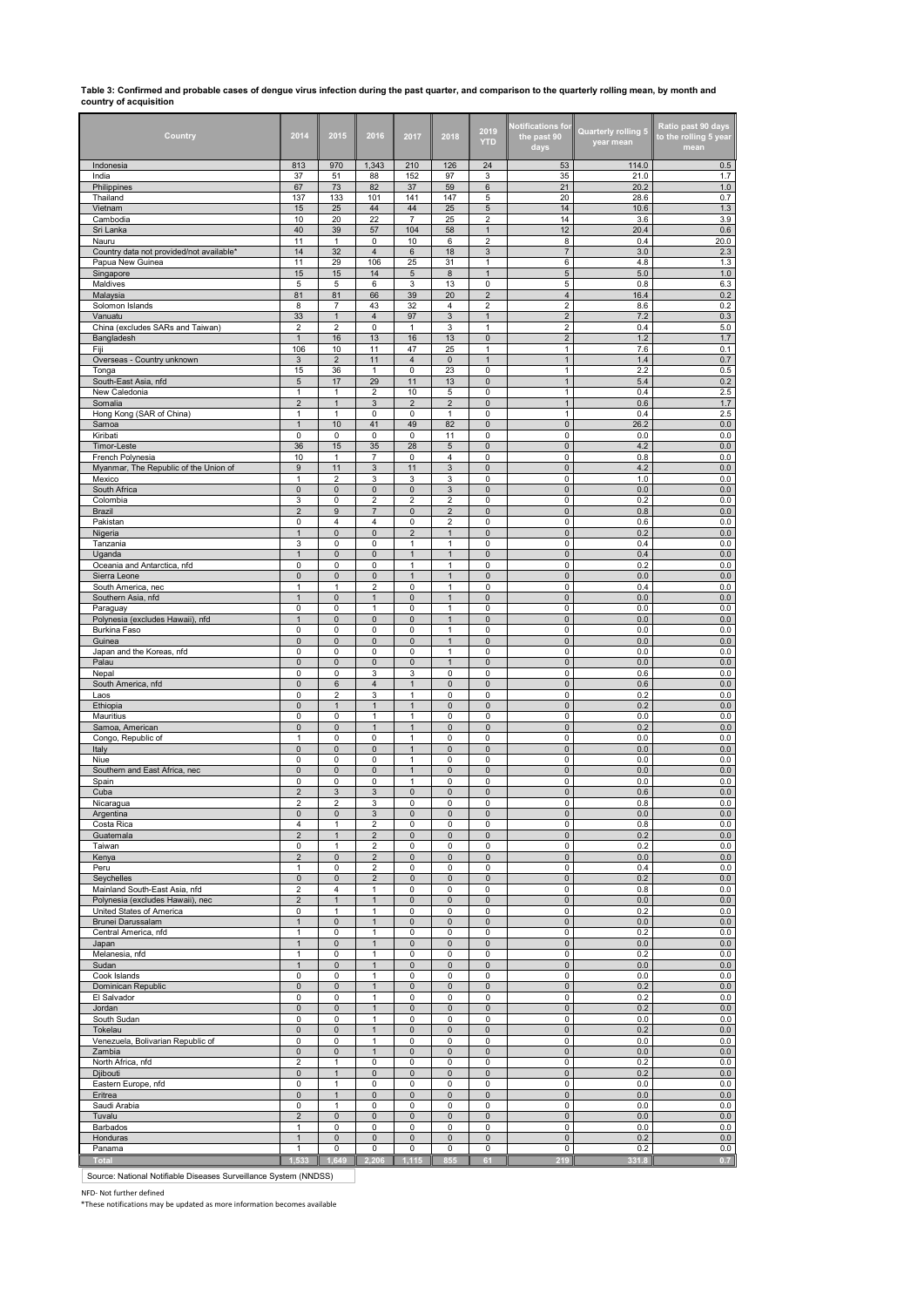# **Table 3: Confirmed and probable cases of dengue virus infection during the past quarter, and comparison to the quarterly rolling mean, by month and country of acquisition**

| Country                                           | 2014                                    | 2015                         | 2016                           | 2017                         | 2018                           | 2019<br><b>YTD</b>                        | <b>Notifications for</b><br>the past 90<br>days | Quarterly rolling 5<br>year mean | Ratio past 90 days<br>to the rolling 5 year<br>mean |
|---------------------------------------------------|-----------------------------------------|------------------------------|--------------------------------|------------------------------|--------------------------------|-------------------------------------------|-------------------------------------------------|----------------------------------|-----------------------------------------------------|
| Indonesia                                         | 813                                     | 970                          | 1,343                          | 210                          | 126                            | 24                                        | 53                                              | 114.0                            | 0.5                                                 |
| India                                             | 37                                      | 51                           | 88                             | 152                          | 97                             | 3                                         | 35                                              | 21.0                             | 1.7                                                 |
| Philippines<br>Thailand                           | 67<br>137                               | 73<br>133                    | 82<br>101                      | 37<br>141                    | 59<br>147                      | 6<br>5                                    | 21<br>20                                        | 20.2<br>28.6                     | 1.0<br>0.7                                          |
| Vietnam                                           | 15                                      | 25                           | 44                             | 44                           | 25                             | 5                                         | 14                                              | 10.6                             | $1.3$                                               |
| Cambodia                                          | 10                                      | 20                           | 22                             | $\overline{7}$               | 25                             | $\overline{2}$                            | 14                                              | 3.6                              | 3.9                                                 |
| Sri Lanka                                         | 40                                      | 39                           | 57                             | 104                          | 58                             | $\mathbf{1}$                              | 12                                              | 20.4                             | 0.6                                                 |
| Nauru<br>Country data not provided/not available* | 11<br>14                                | $\mathbf{1}$<br>32           | 0<br>$\overline{\mathbf{4}}$   | 10<br>6                      | 6<br>18                        | $\overline{2}$<br>$\sqrt{3}$              | 8<br>$\overline{7}$                             | 0.4<br>3.0                       | 20.0<br>2.3                                         |
| Papua New Guinea                                  | 11                                      | 29                           | 106                            | 25                           | 31                             | $\mathbf{1}$                              | 6                                               | 4.8                              | 1.3                                                 |
| Singapore                                         | 15                                      | 15                           | 14                             | 5                            | 8                              | $\mathbf{1}$                              | $\mathbf 5$                                     | 5.0                              | 1.0                                                 |
| Maldives                                          | 5                                       | 5                            | 6                              | 3                            | 13                             | 0                                         | 5                                               | 0.8                              | 6.3                                                 |
| Malaysia                                          | 81                                      | 81<br>$\overline{7}$         | 66                             | 39                           | 20<br>$\overline{4}$           | $\overline{\mathbf{c}}$<br>$\overline{2}$ | $\overline{4}$<br>$\overline{2}$                | 16.4                             | 0.2                                                 |
| Solomon Islands<br>Vanuatu                        | 8<br>33                                 | $\mathbf{1}$                 | 43<br>$\overline{\mathbf{4}}$  | 32<br>97                     | 3                              | $\mathbf{1}$                              | $\mathbf 2$                                     | 8.6<br>7.2                       | 0.2<br>0.3                                          |
| China (excludes SARs and Taiwan)                  | 2                                       | 2                            | 0                              | 1                            | 3                              | $\mathbf{1}$                              | $\mathbf 2$                                     | 0.4                              | 5.0                                                 |
| Bangladesh                                        | $\mathbf{1}$                            | 16                           | 13                             | 16                           | 13                             | $\overline{0}$                            | $\overline{2}$                                  | 1.2                              | 1.7                                                 |
| Fiji                                              | 106                                     | 10                           | 11                             | 47                           | 25                             | $\mathbf{1}$                              | $\mathbf{1}$                                    | 7.6                              | 0.1                                                 |
| Overseas - Country unknown<br>Tonga               | 3<br>15                                 | $\sqrt{2}$<br>36             | 11<br>$\mathbf{1}$             | $\overline{\mathbf{4}}$<br>0 | 0<br>23                        | $\mathbf{1}$<br>0                         | $\mathbf{1}$<br>$\mathbf{1}$                    | 1.4<br>2.2                       | 0.7<br>0.5                                          |
| South-East Asia, nfd                              | $\mathbf 5$                             | 17                           | 29                             | 11                           | 13                             | $\mathbf{0}$                              | $\mathbf{1}$                                    | 5.4                              | 0.2                                                 |
| New Caledonia                                     | 1                                       | $\mathbf{1}$                 | $\overline{2}$                 | 10                           | 5                              | $\mathbf 0$                               | $\mathbf{1}$                                    | 0.4                              | 2.5                                                 |
| Somalia                                           | $\overline{2}$                          | $\mathbf{1}$                 | 3                              | $\overline{2}$               | $\overline{2}$                 | $\bf 0$                                   | $\mathbf{1}$                                    | 0.6                              | 1.7                                                 |
| Hong Kong (SAR of China)                          | $\mathbf{1}$                            | $\mathbf{1}$                 | $\pmb{0}$                      | 0                            | $\mathbf{1}$                   | 0                                         | $\mathbf{1}$                                    | 0.4                              | 2.5                                                 |
| Samoa<br>Kiribati                                 | $\overline{1}$<br>0                     | 10<br>0                      | 41<br>0                        | 49<br>0                      | 82<br>11                       | $\pmb{0}$<br>0                            | $\mathsf{O}\xspace$<br>0                        | 26.2<br>0.0                      | $0.0\,$<br>0.0                                      |
| Timor-Leste                                       | 36                                      | 15                           | 35                             | 28                           | 5                              | $\pmb{0}$                                 | $\pmb{0}$                                       | 4.2                              | 0.0                                                 |
| French Polynesia                                  | 10                                      | 1                            | $\overline{7}$                 | 0                            | $\overline{4}$                 | $\mathbf 0$                               | $\mathbf 0$                                     | 0.8                              | 0.0                                                 |
| Myanmar, The Republic of the Union of             | 9                                       | 11                           | $\mathbf{3}$                   | 11                           | 3                              | $\mathbf 0$                               | $\pmb{0}$                                       | 4.2                              | 0.0                                                 |
| Mexico                                            | $\mathbf{1}$<br>$\overline{\mathbf{0}}$ | $\overline{2}$<br>$\pmb{0}$  | 3<br>$\overline{0}$            | 3<br>$\overline{0}$          | 3<br>$\ensuremath{\mathsf{3}}$ | $\pmb{0}$<br>$\mathbf 0$                  | $\pmb{0}$<br>$\pmb{0}$                          | 1.0<br>0.0                       | 0.0<br>0.0                                          |
| South Africa<br>Colombia                          | 3                                       | 0                            | $\overline{2}$                 | $\overline{2}$               | $\overline{2}$                 | $\pmb{0}$                                 | 0                                               | 0.2                              | 0.0                                                 |
| Brazil                                            | $\overline{2}$                          | 9                            | $\overline{7}$                 | $\mathbf{0}$                 | $\overline{2}$                 | $\bf 0$                                   | $\mathbf 0$                                     | 0.8                              | $0.0\,$                                             |
| Pakistan                                          | 0                                       | 4                            | $\overline{4}$                 | 0                            | $\overline{2}$                 | 0                                         | 0                                               | 0.6                              | 0.0                                                 |
| Nigeria                                           | $\mathbf{1}$                            | $\pmb{0}$                    | $\bf 0$                        | $\overline{\mathbf{c}}$      | $\mathbf{1}$                   | $\pmb{0}$                                 | $\pmb{0}$                                       | 0.2                              | 0.0                                                 |
| Tanzania<br>Uganda                                | 3<br>$\mathbf{1}$                       | $\pmb{0}$<br>$\pmb{0}$       | $\pmb{0}$<br>$\bf 0$           | $\mathbf{1}$<br>$\mathbf{1}$ | $\mathbf{1}$<br>$\mathbf{1}$   | $\pmb{0}$<br>$\bf 0$                      | $\pmb{0}$<br>$\mathsf{O}\xspace$                | 0.4<br>0.4                       | 0.0<br>0.0                                          |
| Oceania and Antarctica, nfd                       | 0                                       | 0                            | 0                              | 1                            | $\mathbf{1}$                   | $\pmb{0}$                                 | 0                                               | 0.2                              | 0.0                                                 |
| Sierra Leone                                      | $\pmb{0}$                               | $\mathsf 0$                  | $\mathsf 0$                    | $\mathbf{1}$                 | $\mathbf{1}$                   | $\mathsf 0$                               | $\mathsf{O}$                                    | 0.0                              | $0.0\,$                                             |
| South America, nec                                | 1                                       | 1                            | $\overline{2}$                 | 0                            | 1                              | 0                                         | 0                                               | 0.4                              | 0.0                                                 |
| Southern Asia, nfd                                | 1<br>0                                  | $\pmb{0}$                    | $\mathbf{1}$                   | $\pmb{0}$                    | $\mathbf{1}$                   | $\pmb{0}$                                 | $\mathsf{O}\xspace$                             | $0.0\,$                          | 0.0<br>0.0                                          |
| Paraguay<br>Polynesia (excludes Hawaii), nfd      | $\mathbf{1}$                            | 0<br>$\pmb{0}$               | $\mathbf{1}$<br>$\mathbf 0$    | 0<br>$\mathbf 0$             | 1<br>$\mathbf{1}$              | 0<br>$\pmb{0}$                            | 0<br>$\pmb{0}$                                  | 0.0<br>0.0                       | 0.0                                                 |
| Burkina Faso                                      | 0                                       | 0                            | $\pmb{0}$                      | 0                            | $\mathbf{1}$                   | $\pmb{0}$                                 | $\mathsf 0$                                     | 0.0                              | 0.0                                                 |
| Guinea                                            | $\pmb{0}$                               | $\mathbf 0$                  | $\bf 0$                        | $\mathbf 0$                  | $\mathbf{1}$                   | $\pmb{0}$                                 | $\mathsf{O}\xspace$                             | 0.0                              | 0.0                                                 |
| Japan and the Koreas, nfd                         | 0                                       | 0                            | $\pmb{0}$                      | 0                            | $\mathbf{1}$                   | 0                                         | 0                                               | 0.0                              | 0.0                                                 |
| Palau<br>Nepal                                    | $\pmb{0}$<br>0                          | 0<br>0                       | $\pmb{0}$<br>3                 | 0<br>3                       | $\mathbf{1}$<br>0              | $\pmb{0}$<br>0                            | 0<br>0                                          | $0.0\,$<br>0.6                   | $0.0\,$<br>0.0                                      |
| South America, nfd                                | $\pmb{0}$                               | 6                            | $\overline{4}$                 | $\mathbf{1}$                 | $\pmb{0}$                      | $\pmb{0}$                                 | $\pmb{0}$                                       | 0.6                              | $0.0\,$                                             |
| Laos                                              | 0                                       | $\overline{2}$               | 3                              | $\mathbf{1}$                 | 0                              | $\pmb{0}$                                 | $\mathsf 0$                                     | 0.2                              | 0.0                                                 |
| Ethiopia<br>Mauritius                             | $\mathsf{O}\xspace$<br>0                | $\mathbf{1}$<br>0            | $\mathbf{1}$<br>$\mathbf{1}$   | 1<br>1                       | $\mathsf{O}\xspace$<br>0       | $\mathsf 0$<br>0                          | $\mathsf{O}\xspace$<br>0                        | 0.2<br>0.0                       | 0.0<br>0.0                                          |
| Samoa, American                                   | $\mathsf{O}\xspace$                     | $\pmb{0}$                    | $\overline{1}$                 | $\mathbf{1}$                 | $\pmb{0}$                      | $\pmb{0}$                                 | $\pmb{0}$                                       | 0.2                              | $0.0\,$                                             |
| Congo, Republic of                                | 1                                       | 0                            | $\mathsf 0$                    | 1                            | 0                              | 0                                         | 0                                               | 0.0                              | 0.0                                                 |
| Italy                                             | $\pmb{0}$                               | $\mathsf{O}\xspace$          | $\pmb{0}$                      | $\mathbf{1}$                 | $\mathbf 0$                    | $\pmb{0}$                                 | $\pmb{0}$                                       | 0.0                              | 0.0                                                 |
| Niue<br>Southern and East Africa, nec             | 0<br>$\pmb{0}$                          | 0<br>$\pmb{0}$               | 0<br>$\bf 0$                   | 1<br>$\mathbf{1}$            | 0<br>$\pmb{0}$                 | 0<br>$\pmb{0}$                            | 0<br>$\mathsf 0$                                | 0.0<br>$0.0\,$                   | 0.0<br>0.0                                          |
| Spain                                             | 0                                       | 0                            | 0                              | 1                            | 0                              | 0                                         | 0                                               | 0.0                              | 0.0                                                 |
| Cuba                                              | $\overline{2}$                          | 3                            | 3                              | $\mathbf 0$                  | $\pmb{0}$                      | $\pmb{0}$                                 | $\pmb{0}$                                       | 0.6                              | 0.0                                                 |
| Nicaragua                                         | $\overline{2}$                          | 2                            | 3                              | 0                            | 0                              | 0                                         | 0                                               | 0.8                              | 0.0                                                 |
| Argentina                                         | 0                                       | 0                            | 3                              | 0                            | $\pmb{0}$                      | $\pmb{0}$                                 | 0                                               | 0.0                              | 0.0                                                 |
| Costa Rica<br>Guatemala                           | 4<br>$\sqrt{2}$                         | $\mathbf{1}$<br>$\mathbf{1}$ | $\overline{2}$<br>$\mathbf 2$  | 0<br>$\pmb{0}$               | 0<br>$\pmb{0}$                 | 0<br>$\pmb{0}$                            | 0<br>$\mathsf{O}\xspace$                        | 0.8<br>0.2                       | 0.0<br>0.0                                          |
| Taiwan                                            | 0                                       | 1                            | $\overline{2}$                 | $\pmb{0}$                    | 0                              | $\pmb{0}$                                 | 0                                               | 0.2                              | 0.0                                                 |
| Kenya                                             | $\overline{2}$                          | $\mathsf 0$                  | $\overline{2}$                 | 0                            | $\mathbf 0$                    | $\pmb{0}$                                 | $\mathbf 0$                                     | 0.0                              | 0.0                                                 |
| Peru                                              | 1                                       | 0                            | $\overline{\mathbf{c}}$        | 0                            | 0                              | $\pmb{0}$                                 | $\mathsf 0$                                     | 0.4                              | 0.0                                                 |
| Seychelles<br>Mainland South-East Asia, nfd       | $\pmb{0}$<br>$\overline{\mathbf{c}}$    | $\mathsf 0$<br>4             | $\overline{2}$<br>$\mathbf{1}$ | $\mathbf 0$<br>0             | $\mathsf 0$<br>0               | $\mathsf 0$<br>0                          | $\mathsf{O}\xspace$<br>0                        | 0.2<br>0.8                       | 0.0<br>0.0                                          |
| Polynesia (excludes Hawaii), nec                  | $\sqrt{2}$                              | $\mathbf{1}$                 | $\mathbf{1}$                   | $\pmb{0}$                    | $\pmb{0}$                      | $\pmb{0}$                                 | $\mathsf{O}\xspace$                             | $0.0\,$                          | 0.0                                                 |
| United States of America                          | 0                                       | $\mathbf{1}$                 | $\mathbf{1}$                   | 0                            | 0                              | 0                                         | 0                                               | 0.2                              | 0.0                                                 |
| Brunei Darussalam                                 | $\mathbf{1}$                            | $\pmb{0}$                    | $\overline{1}$                 | $\mathbf 0$                  | $\pmb{0}$                      | $\pmb{0}$                                 | $\pmb{0}$                                       | 0.0                              | 0.0                                                 |
| Central America, nfd<br>Japan                     | 1<br>$\mathbf{1}$                       | 0<br>$\mathbf 0$             | $\mathbf{1}$<br>$\mathbf{1}$   | 0<br>0                       | 0<br>$\pmb{0}$                 | 0<br>$\bf 0$                              | 0<br>$\mathsf{O}\xspace$                        | 0.2<br>0.0                       | 0.0<br>0.0                                          |
| Melanesia, nfd                                    | $\mathbf{1}$                            | $\pmb{0}$                    | $\overline{1}$                 | 0                            | 0                              | 0                                         | $\mathsf 0$                                     | 0.2                              | 0.0                                                 |
| Sudan                                             | $\overline{1}$                          | $\pmb{0}$                    | $\mathbf{1}$                   | $\pmb{0}$                    | $\pmb{0}$                      | $\pmb{0}$                                 | $\mathsf{O}\xspace$                             | 0.0                              | $0.0\,$                                             |
| Cook Islands                                      | 0                                       | 0                            | $\mathbf{1}$                   | 0                            | 0                              | 0                                         | $\mathbf 0$                                     | 0.0                              | 0.0                                                 |
| Dominican Republic                                | $\pmb{0}$                               | $\mathbf{0}$                 | $\mathbf{1}$<br>$\mathbf{1}$   | $\pmb{0}$                    | $\pmb{0}$                      | $\pmb{0}$<br>$\mathbf 0$                  | $\mathsf{O}\xspace$                             | 0.2                              | 0.0                                                 |
| El Salvador<br>Jordan                             | 0<br>$\mathsf{O}\xspace$                | 0<br>$\mathbf 0$             | $\mathbf{1}$                   | 0<br>$\mathsf{O}\xspace$     | 0<br>$\mathbf 0$               | $\mathsf 0$                               | $\mathsf 0$<br>$\mathsf{O}\xspace$              | 0.2<br>0.2                       | 0.0<br>0.0                                          |
| South Sudan                                       | 0                                       | $\pmb{0}$                    | $\mathbf{1}$                   | 0                            | 0                              | $\pmb{0}$                                 | $\mathsf 0$                                     | 0.0                              | 0.0                                                 |
| Tokelau                                           | $\pmb{0}$                               | $\mathbf 0$                  | $\mathbf{1}$                   | $\pmb{0}$                    | $\mathbf 0$                    | $\pmb{0}$                                 | $\mathbf 0$                                     | 0.2                              | 0.0                                                 |
| Venezuela, Bolivarian Republic of                 | 0                                       | 0                            | $\mathbf{1}$                   | 0                            | 0                              | $\mathsf 0$                               | 0                                               | 0.0                              | 0.0                                                 |
| Zambia<br>North Africa, nfd                       | $\pmb{0}$<br>2                          | $\mathbf{0}$<br>$\mathbf{1}$ | $\overline{1}$<br>0            | $\mathbf{0}$<br>0            | $\mathbf{0}$<br>0              | $\bf 0$<br>0                              | $\mathsf 0$<br>0                                | $0.0\,$<br>0.2                   | 0.0<br>0.0                                          |
| Djibouti                                          | $\pmb{0}$                               | $\mathbf{1}$                 | $\bf 0$                        | $\mathbf 0$                  | $\pmb{0}$                      | $\pmb{0}$                                 | $\pmb{0}$                                       | 0.2                              | 0.0                                                 |
| Eastern Europe, nfd                               | 0                                       | $\mathbf{1}$                 | 0                              | 0                            | 0                              | 0                                         | 0                                               | 0.0                              | 0.0                                                 |
| Eritrea                                           | $\pmb{0}$                               | $\mathbf{1}$                 | $\mathbf 0$                    | $\mathbf 0$                  | $\pmb{0}$                      | $\pmb{0}$                                 | $\mathsf{O}\xspace$                             | 0.0                              | 0.0                                                 |
| Saudi Arabia<br>Tuvalu                            | 0<br>$\overline{2}$                     | 1<br>$\mathbf 0$             | $\pmb{0}$<br>$\pmb{0}$         | 0<br>$\pmb{0}$               | 0<br>$\mathsf 0$               | $\pmb{0}$<br>$\pmb{0}$                    | 0<br>$\mathsf{O}\xspace$                        | 0.0<br>0.0                       | 0.0<br>0.0                                          |
| Barbados                                          | 1                                       | 0                            | 0                              | 0                            | 0                              | 0                                         | 0                                               | 0.0                              | 0.0                                                 |
| Honduras                                          | 1                                       | $\pmb{0}$                    | $\pmb{0}$                      | 0                            | 0                              | $\pmb{0}$                                 | $\mathsf{O}\xspace$                             | 0.2                              | 0.0                                                 |
| Panama                                            | 1                                       | 0                            | 0                              | 0                            | 0                              | 0                                         | 0                                               | 0.2                              | 0.0                                                 |
| <b>Total</b>                                      | .533                                    | 1.649                        | 2.206                          | 1,115                        | 855                            | $\overline{\mathbf{a}}$                   | 219                                             | 331.8                            | 0.7                                                 |

Source: National Notifiable Diseases Surveillance System (NNDSS)

NFD- Not further defined \*These notifications may be updated as more information becomes available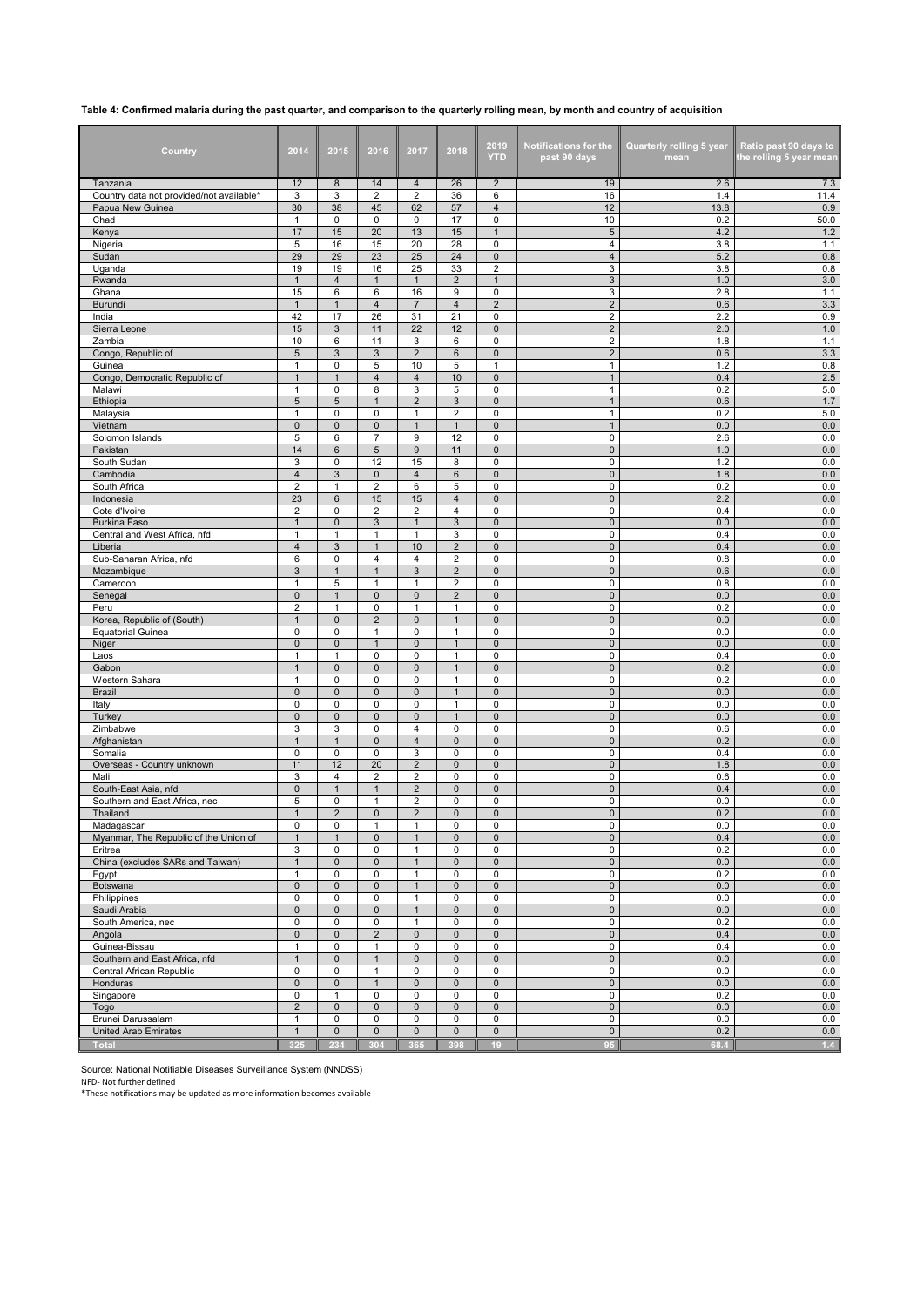## **Table 4: Confirmed malaria during the past quarter, and comparison to the quarterly rolling mean, by month and country of acquisition**

| Country                                   | 2014                                      | 2015                | 2016                           | 2017                             | 2018                             | 2019<br><b>YTD</b>           | <b>Notifications for the</b><br>past 90 days | Quarterly rolling 5 year<br>mean | Ratio past 90 days to<br>the rolling 5 year mean |
|-------------------------------------------|-------------------------------------------|---------------------|--------------------------------|----------------------------------|----------------------------------|------------------------------|----------------------------------------------|----------------------------------|--------------------------------------------------|
| Tanzania                                  | 12                                        | 8                   | 14                             | $\overline{4}$                   | 26                               | $\overline{\mathbf{c}}$      | 19                                           | 2.6                              | 7.3                                              |
| Country data not provided/not available*  | 3                                         | 3                   | $\overline{2}$                 | $\overline{2}$                   | 36                               | 6                            | 16                                           | 1.4                              | 11.4                                             |
| Papua New Guinea<br>Chad                  | 30<br>$\mathbf{1}$                        | 38<br>0             | 45<br>$\mathbf 0$              | 62<br>$\mathbf 0$                | 57<br>17                         | $\overline{\mathbf{4}}$<br>0 | 12<br>10                                     | 13.8<br>0.2                      | 0.9<br>50.0                                      |
| Kenya                                     | 17                                        | 15                  | 20                             | 13                               | 15                               | $\mathbf{1}$                 | $\sqrt{5}$                                   | 4.2                              | $1.2$                                            |
| Nigeria                                   | 5                                         | 16                  | 15                             | 20                               | 28                               | 0                            | 4                                            | 3.8                              | 1.1                                              |
| Sudan                                     | 29                                        | 29                  | 23                             | 25                               | 24                               | 0                            | $\overline{\mathbf{4}}$                      | 5.2                              | 0.8                                              |
| Uganda                                    | 19                                        | 19                  | 16                             | 25                               | 33                               | $\overline{2}$               | 3                                            | 3.8                              | 0.8                                              |
| Rwanda                                    | $\mathbf{1}$                              | $\overline{4}$      | $\mathbf{1}$                   | $\mathbf{1}$                     | $\overline{c}$                   | $\mathbf{1}$                 | 3                                            | 1.0                              | $3.0\,$                                          |
| Ghana                                     | 15<br>$\mathbf{1}$                        | 6<br>$\mathbf{1}$   | 6<br>$\overline{4}$            | 16<br>$\overline{7}$             | 9<br>$\overline{4}$              | 0                            | 3                                            | 2.8                              | 1.1<br>3.3                                       |
| Burundi<br>India                          | 42                                        | 17                  | 26                             | 31                               | 21                               | 2<br>0                       | $\overline{\mathbf{c}}$<br>$\overline{2}$    | 0.6<br>2.2                       | 0.9                                              |
| Sierra Leone                              | 15                                        | 3                   | 11                             | 22                               | 12                               | $\pmb{0}$                    | $\overline{2}$                               | 2.0                              | $1.0$                                            |
| Zambia                                    | 10                                        | 6                   | 11                             | 3                                | 6                                | 0                            | $\overline{\mathbf{c}}$                      | 1.8                              | 1.1                                              |
| Congo, Republic of                        | $\sqrt{5}$                                | 3                   | 3                              | $\overline{2}$                   | 6                                | $\pmb{0}$                    | $\sqrt{2}$                                   | 0.6                              | 3.3                                              |
| Guinea                                    | 1                                         | 0                   | 5                              | 10                               | 5                                | 1                            | $\mathbf{1}$                                 | 1.2                              | 0.8                                              |
| Congo, Democratic Republic of<br>Malawi   | $\mathbf{1}$                              | $\mathbf{1}$<br>0   | $\overline{4}$<br>8            | $\overline{\mathbf{4}}$<br>3     | 10<br>5                          | $\pmb{0}$<br>0               | $\mathbf{1}$<br>$\mathbf{1}$                 | 0.4<br>0.2                       | 2.5<br>5.0                                       |
| Ethiopia                                  | 1<br>$\sqrt{5}$                           | 5                   | $\overline{1}$                 | $\overline{2}$                   | 3                                | $\pmb{0}$                    | $\mathbf{1}$                                 | 0.6                              | 1.7                                              |
| Malaysia                                  | $\mathbf{1}$                              | $\mathbf 0$         | $\mathbf 0$                    | $\mathbf{1}$                     | $\overline{2}$                   | 0                            | $\mathbf{1}$                                 | 0.2                              | 5.0                                              |
| Vietnam                                   | $\mathsf 0$                               | 0                   | $\mathbf 0$                    | $\mathbf{1}$                     | $\mathbf{1}$                     | 0                            | $\mathbf{1}$                                 | 0.0                              | 0.0                                              |
| Solomon Islands                           | 5                                         | 6                   | $\overline{7}$                 | 9                                | 12                               | 0                            | 0                                            | 2.6                              | 0.0                                              |
| Pakistan                                  | 14                                        | 6                   | 5                              | 9                                | 11                               | $\pmb{0}$                    | $\mathbf 0$                                  | 1.0                              | 0.0                                              |
| South Sudan                               | 3                                         | 0                   | 12                             | 15                               | 8                                | 0                            | 0                                            | 1.2                              | 0.0                                              |
| Cambodia<br>South Africa                  | $\overline{4}$<br>$\overline{\mathbf{c}}$ | 3<br>1              | $\mathbf 0$<br>2               | $\overline{\mathbf{4}}$<br>6     | 6<br>5                           | $\pmb{0}$<br>0               | $\mathbf 0$<br>0                             | 1.8<br>0.2                       | 0.0<br>0.0                                       |
| Indonesia                                 | 23                                        | 6                   | 15                             | 15                               | 4                                | 0                            | $\mathbf 0$                                  | 2.2                              | 0.0                                              |
| Cote d'Ivoire                             | $\overline{2}$                            | 0                   | $\overline{2}$                 | $\overline{\mathbf{c}}$          | 4                                | 0                            | 0                                            | 0.4                              | 0.0                                              |
| <b>Burkina Faso</b>                       | $\mathbf{1}$                              | $\mathbf{0}$        | 3                              | $\mathbf{1}$                     | $\ensuremath{\mathsf{3}}$        | 0                            | $\mathbf 0$                                  | 0.0                              | 0.0                                              |
| Central and West Africa, nfd              | $\mathbf{1}$                              | $\mathbf{1}$        | $\mathbf{1}$                   | $\mathbf{1}$                     | 3                                | 0                            | $\pmb{0}$                                    | 0.4                              | 0.0                                              |
| Liberia                                   | $\overline{\mathbf{4}}$                   | 3                   | $\mathbf{1}$                   | 10                               | $\overline{\mathbf{c}}$          | 0                            | 0                                            | 0.4                              | 0.0                                              |
| Sub-Saharan Africa, nfd<br>Mozambique     | 6<br>3                                    | 0<br>$\mathbf{1}$   | $\overline{4}$<br>$\mathbf{1}$ | 4<br>3                           | $\overline{2}$<br>$\overline{2}$ | 0<br>$\pmb{0}$               | 0<br>$\mathbf 0$                             | 0.8<br>0.6                       | 0.0<br>0.0                                       |
| Cameroon                                  | $\mathbf{1}$                              | 5                   | $\mathbf{1}$                   | $\mathbf{1}$                     | $\mathbf 2$                      | 0                            | 0                                            | 0.8                              | 0.0                                              |
| Senegal                                   | $\mathbf{0}$                              | $\mathbf{1}$        | $\mathbf{0}$                   | $\mathbf 0$                      | $\overline{2}$                   | $\pmb{0}$                    | $\mathbf 0$                                  | 0.0                              | 0.0                                              |
| Peru                                      | $\overline{\mathbf{c}}$                   | 1                   | 0                              | -1                               | 1                                | 0                            | 0                                            | 0.2                              | 0.0                                              |
| Korea, Republic of (South)                | $\mathbf{1}$                              | $\pmb{0}$           | $\overline{2}$                 | $\pmb{0}$                        | $\mathbf{1}$                     | 0                            | $\pmb{0}$                                    | 0.0                              | 0.0                                              |
| <b>Equatorial Guinea</b>                  | 0                                         | 0                   | $\mathbf{1}$                   | 0                                | $\mathbf{1}$<br>$\mathbf{1}$     | 0                            | 0                                            | 0.0                              | 0.0                                              |
| Niger<br>Laos                             | $\pmb{0}$<br>$\mathbf{1}$                 | 0<br>$\mathbf{1}$   | $\mathbf{1}$<br>$\mathbf 0$    | $\mathbf 0$<br>0                 | $\mathbf{1}$                     | 0<br>0                       | 0<br>0                                       | 0.0<br>0.4                       | $0.0\,$<br>0.0                                   |
| Gabon                                     | $\mathbf{1}$                              | 0                   | $\mathbf 0$                    | $\mathsf 0$                      | $\mathbf{1}$                     | $\pmb{0}$                    | $\pmb{0}$                                    | 0.2                              | 0.0                                              |
| Western Sahara                            | $\mathbf{1}$                              | 0                   | $\mathbf 0$                    | $\mathbf 0$                      | $\mathbf{1}$                     | 0                            | 0                                            | 0.2                              | 0.0                                              |
| <b>Brazil</b>                             | $\mathsf 0$                               | 0                   | $\mathbf{0}$                   | $\mathbf 0$                      | $\mathbf{1}$                     | $\pmb{0}$                    | $\mathbf 0$                                  | 0.0                              | 0.0                                              |
| Italy                                     | $\mathbf 0$                               | 0                   | $\mathbf 0$                    | $\mathbf 0$                      | $\mathbf{1}$                     | 0                            | 0                                            | 0.0                              | 0.0                                              |
| Turkey                                    | $\pmb{0}$<br>3                            | $\pmb{0}$<br>3      | $\mathbf 0$<br>$\mathbf 0$     | $\pmb{0}$<br>4                   | $\mathbf{1}$<br>0                | 0<br>0                       | $\mathbf 0$<br>0                             | 0.0<br>0.6                       | 0.0<br>0.0                                       |
| Zimbabwe<br>Afghanistan                   | $\mathbf{1}$                              | $\mathbf{1}$        | 0                              | $\sqrt{4}$                       | $\mathbf 0$                      | 0                            | $\mathbf 0$                                  | 0.2                              | 0.0                                              |
| Somalia                                   | 0                                         | 0                   | 0                              | 3                                | $\pmb{0}$                        | 0                            | 0                                            | 0.4                              | 0.0                                              |
| Overseas - Country unknown                | 11                                        | 12                  | 20                             | $\overline{2}$                   | $\pmb{0}$                        | 0                            | $\mathbf 0$                                  | 1.8                              | $0.0\,$                                          |
| Mali                                      | 3                                         | $\overline{4}$      | $\overline{2}$                 | $\overline{2}$                   | 0                                | 0                            | 0                                            | 0.6                              | 0.0                                              |
| South-East Asia, nfd                      | $\mathsf 0$                               | $\mathbf{1}$        | $\mathbf{1}$                   | $\sqrt{2}$                       | $\pmb{0}$                        | $\pmb{0}$                    | $\mathbf 0$                                  | 0.4                              | 0.0                                              |
| Southern and East Africa, nec<br>Thailand | 5<br>$\mathbf{1}$                         | 0<br>$\overline{2}$ | 1<br>$\mathbf{0}$              | $\overline{2}$<br>$\overline{2}$ | 0<br>$\pmb{0}$                   | 0<br>0                       | 0<br>$\mathbf 0$                             | 0.0<br>0.2                       | 0.0<br>0.0                                       |
| Madagascar                                | 0                                         | 0                   | 1                              | 1                                | 0                                | 0                            | 0                                            | 0.0                              | 0.0                                              |
| Myanmar, The Republic of the Union of     | $\mathbf{1}$                              | $\mathbf{1}$        | $\mathbf 0$                    | $\mathbf{1}$                     | $\pmb{0}$                        | 0                            | $\pmb{0}$                                    | 0.4                              | 0.0                                              |
| Eritrea                                   | 3                                         | 0                   | 0                              | 1                                | 0                                | 0                            | 0                                            | 0.2                              | 0.0                                              |
| China (excludes SARs and Taiwan)          | $\mathbf{1}$                              | 0                   | $\mathbf 0$                    | $\mathbf{1}$                     | $\pmb{0}$                        | 0                            | 0                                            | 0.0                              | 0.0                                              |
| Egypt                                     | $\mathbf{1}$                              | 0                   | 0                              | $\mathbf{1}$                     | 0                                | 0                            | $\pmb{0}$                                    | 0.2                              | 0.0                                              |
| Botswana                                  | $\mathsf 0$                               | $\mathbf 0$         | $\mathbf 0$                    | $\mathbf{1}$                     | $\mathsf{O}\xspace$              | $\mathbf 0$                  | $\pmb{0}$                                    | $0.0\,$                          | 0.0                                              |
| Philippines<br>Saudi Arabia               | 0<br>$\pmb{0}$                            | 0<br>0              | $\mathbf 0$<br>$\mathsf 0$     | $\mathbf{1}$<br>$\mathbf{1}$     | 0<br>$\mathsf{O}\xspace$         | $\pmb{0}$<br>$\mathsf 0$     | 0<br>$\pmb{0}$                               | 0.0<br>$0.0\,$                   | 0.0<br>0.0                                       |
| South America, nec                        | 0                                         | 0                   | $\mathbf 0$                    | $\mathbf{1}$                     | 0                                | 0                            | 0                                            | 0.2                              | 0.0                                              |
| Angola                                    | $\pmb{0}$                                 | $\mathbf 0$         | $\overline{2}$                 | $\mathsf 0$                      | $\pmb{0}$                        | $\pmb{0}$                    | $\mathbf 0$                                  | 0.4                              | 0.0                                              |
| Guinea-Bissau                             | $\mathbf{1}$                              | $\mathbf 0$         | $\mathbf{1}$                   | 0                                | 0                                | 0                            | 0                                            | 0.4                              | 0.0                                              |
| Southern and East Africa, nfd             | $\mathbf{1}$                              | $\mathbf 0$         | $\mathbf{1}$                   | $\mathsf{O}\xspace$              | $\pmb{0}$                        | $\mathsf{O}\xspace$          | $\mathbf 0$                                  | $0.0\,$                          | 0.0                                              |
| Central African Republic                  | 0<br>$\mathsf 0$                          | 0<br>0              | $\mathbf{1}$<br>$\mathbf{1}$   | 0<br>$\mathbf 0$                 | 0<br>$\pmb{0}$                   | 0<br>$\pmb{0}$               | 0                                            | 0.0                              | 0.0                                              |
| Honduras<br>Singapore                     | 0                                         | $\mathbf{1}$        | 0                              | 0                                | $\pmb{0}$                        | 0                            | 0<br>$\pmb{0}$                               | 0.0<br>0.2                       | 0.0<br>0.0                                       |
| Togo                                      | $\overline{2}$                            | $\mathbf{0}$        | $\mathbf{0}$                   | $\mathbf 0$                      | $\pmb{0}$                        | $\pmb{0}$                    | $\mathbf 0$                                  | 0.0                              | 0.0                                              |
| Brunei Darussalam                         | $\mathbf{1}$                              | $\mathsf 0$         | $\mathbf 0$                    | 0                                | 0                                | $\pmb{0}$                    | 0                                            | 0.0                              | 0.0                                              |
| <b>United Arab Emirates</b>               | $\mathbf{1}$                              | $\mathbf 0$         | $\mathbf 0$                    | $\mathsf 0$                      | $\pmb{0}$                        | $\pmb{0}$                    | $\mathsf{O}\xspace$                          | 0.2                              | 0.0                                              |
| <b>Total</b>                              | 325                                       | 234                 | 304                            | 365                              | 398                              | 19                           | 95                                           | 68.4                             | 1.4                                              |

Source: National Notifiable Diseases Surveillance System (NNDSS) NFD- Not further defined